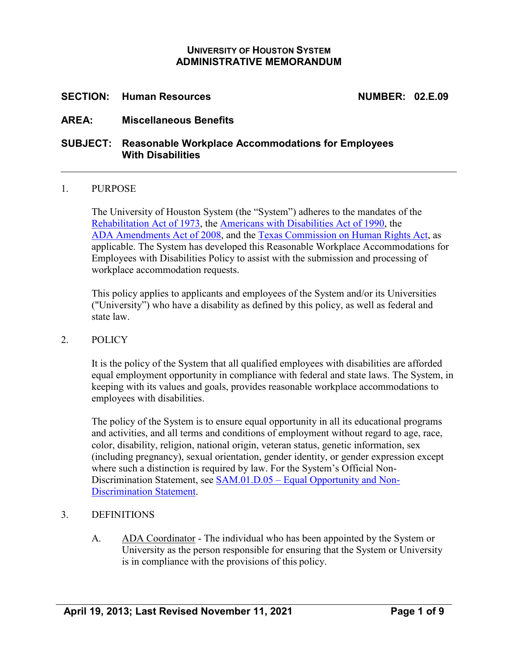## **UNIVERSITY OF HOUSTON SYSTEM ADMINISTRATIVE MEMORANDUM**

## **SECTION: Human Resources NUMBER: 02.E.09**

### **AREA: Miscellaneous Benefits**

## **SUBJECT: Reasonable Workplace Accommodations for Employees With Disabilities**

#### 1. PURPOSE

The University of Houston System (the "System") adheres to the mandates of the [Rehabilitation Act of 1973,](https://www.access-board.gov/the-board/laws/rehabilitation-act-of-1973) the [Americans with Disabilities Act of 1990,](http://www.ada.gov/pubs/ada.htm) the [ADA Amendments Act of 2008,](http://www.eeoc.gov/laws/statutes/adaaa.cfm) and the [Texas Commission on Human Rights Act,](https://hhs.texas.gov/laws-regulations/handbooks/1-3-nondiscrimination/1-3-3-article-5221k-texas-commission-human-rights-act-1983) as applicable. The System has developed this Reasonable Workplace Accommodations for Employees with Disabilities Policy to assist with the submission and processing of workplace accommodation requests.

This policy applies to applicants and employees of the System and/or its Universities ("University") who have a disability as defined by this policy, as well as federal and state law.

#### 2. POLICY

It is the policy of the System that all qualified employees with disabilities are afforded equal employment opportunity in compliance with federal and state laws. The System, in keeping with its values and goals, provides reasonable workplace accommodations to employees with disabilities.

The policy of the System is to ensure equal opportunity in all its educational programs and activities, and all terms and conditions of employment without regard to age, race, color, disability, religion, national origin, veteran status, genetic information, sex (including pregnancy), sexual orientation, gender identity, or gender expression except where such a distinction is required by law. For the System's Official Non-Discrimination Statement, see SAM.01.D.05 – [Equal Opportunity and Non-](https://uhsystem.edu/compliance-ethics/_docs/sam/01/1d51.pdf)[Discrimination](http://www.uh.edu/af/universityservices/policies/sam/1GenAdmin/1D5.pdf) Statement.

#### 3. DEFINITIONS

A. ADA Coordinator - The individual who has been appointed by the System or University as the person responsible for ensuring that the System or University is in compliance with the provisions of this policy.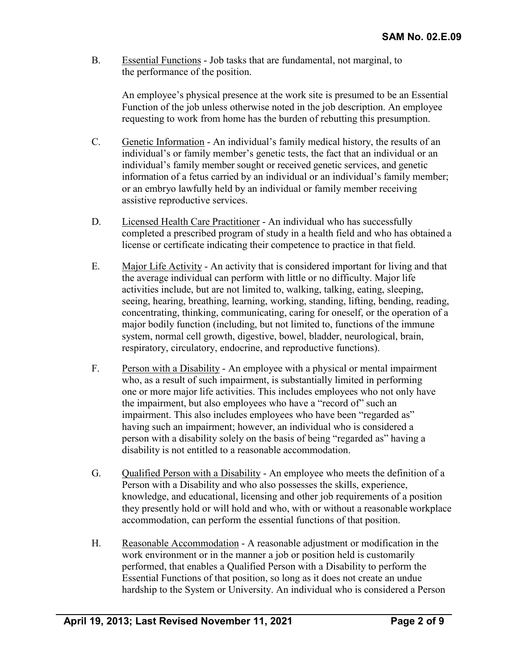B. Essential Functions - Job tasks that are fundamental, not marginal, to the performance of the position.

An employee's physical presence at the work site is presumed to be an Essential Function of the job unless otherwise noted in the job description. An employee requesting to work from home has the burden of rebutting this presumption.

- C. Genetic Information An individual's family medical history, the results of an individual's or family member's genetic tests, the fact that an individual or an individual's family member sought or received genetic services, and genetic information of a fetus carried by an individual or an individual's family member; or an embryo lawfully held by an individual or family member receiving assistive reproductive services.
- D. Licensed Health Care Practitioner An individual who has successfully completed a prescribed program of study in a health field and who has obtained a license or certificate indicating their competence to practice in that field.
- E. Major Life Activity An activity that is considered important for living and that the average individual can perform with little or no difficulty. Major life activities include, but are not limited to, walking, talking, eating, sleeping, seeing, hearing, breathing, learning, working, standing, lifting, bending, reading, concentrating, thinking, communicating, caring for oneself, or the operation of a major bodily function (including, but not limited to, functions of the immune system, normal cell growth, digestive, bowel, bladder, neurological, brain, respiratory, circulatory, endocrine, and reproductive functions).
- F. Person with a Disability An employee with a physical or mental impairment who, as a result of such impairment, is substantially limited in performing one or more major life activities. This includes employees who not only have the impairment, but also employees who have a "record of" such an impairment. This also includes employees who have been "regarded as" having such an impairment; however, an individual who is considered a person with a disability solely on the basis of being "regarded as" having a disability is not entitled to a reasonable accommodation.
- G. Qualified Person with a Disability An employee who meets the definition of a Person with a Disability and who also possesses the skills, experience, knowledge, and educational, licensing and other job requirements of a position they presently hold or will hold and who, with or without a reasonable workplace accommodation, can perform the essential functions of that position.
- H. Reasonable Accommodation A reasonable adjustment or modification in the work environment or in the manner a job or position held is customarily performed, that enables a Qualified Person with a Disability to perform the Essential Functions of that position, so long as it does not create an undue hardship to the System or University. An individual who is considered a Person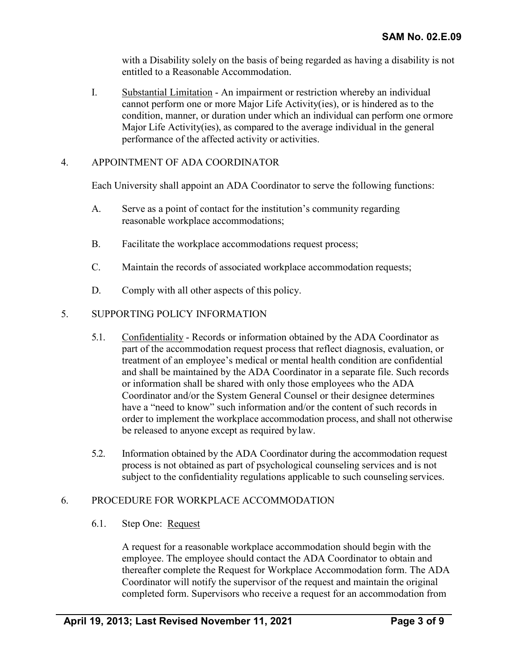with a Disability solely on the basis of being regarded as having a disability is not entitled to a Reasonable Accommodation.

I. Substantial Limitation - An impairment or restriction whereby an individual cannot perform one or more Major Life Activity(ies), or is hindered as to the condition, manner, or duration under which an individual can perform one ormore Major Life Activity(ies), as compared to the average individual in the general performance of the affected activity or activities.

## 4. APPOINTMENT OF ADA COORDINATOR

Each University shall appoint an ADA Coordinator to serve the following functions:

- A. Serve as a point of contact for the institution's community regarding reasonable workplace accommodations;
- B. Facilitate the workplace accommodations request process;
- C. Maintain the records of associated workplace accommodation requests;
- D. Comply with all other aspects of this policy.

### 5. SUPPORTING POLICY INFORMATION

- 5.1. Confidentiality Records or information obtained by the ADA Coordinator as part of the accommodation request process that reflect diagnosis, evaluation, or treatment of an employee's medical or mental health condition are confidential and shall be maintained by the ADA Coordinator in a separate file. Such records or information shall be shared with only those employees who the ADA Coordinator and/or the System General Counsel or their designee determines have a "need to know" such information and/or the content of such records in order to implement the workplace accommodation process, and shall not otherwise be released to anyone except as required bylaw.
- 5.2. Information obtained by the ADA Coordinator during the accommodation request process is not obtained as part of psychological counseling services and is not subject to the confidentiality regulations applicable to such counseling services.

## 6. PROCEDURE FOR WORKPLACE ACCOMMODATION

#### 6.1. Step One: Request

A request for a reasonable workplace accommodation should begin with the employee. The employee should contact the ADA Coordinator to obtain and thereafter complete the Request for Workplace Accommodation form. The ADA Coordinator will notify the supervisor of the request and maintain the original completed form. Supervisors who receive a request for an accommodation from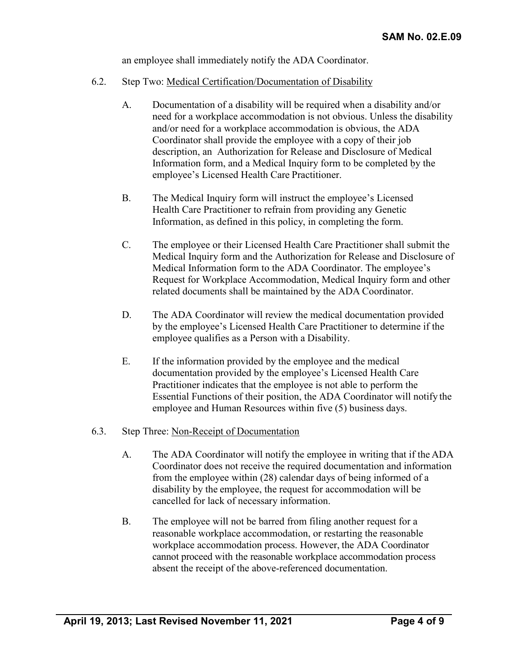an employee shall immediately notify the ADA Coordinator.

- 6.2. Step Two: Medical Certification/Documentation of Disability
	- A. Documentation of a disability will be required when a disability and/or need for a workplace accommodation is not obvious. Unless the disability and/or need for a workplace accommodation is obvious, the ADA Coordinator shall provide the employee with a copy of their job description, an Authorization for Release and Disclosure of Medical Information form, and a Medical Inquiry form to be completed by the employee's Licensed Health Care Practitioner.
	- B. The Medical Inquiry form will instruct the employee's Licensed Health Care Practitioner to refrain from providing any Genetic Information, as defined in this policy, in completing the form.
	- C. The employee or their Licensed Health Care Practitioner shall submit the Medical Inquiry form and the Authorization for Release and Disclosure of Medical Information form to the ADA Coordinator. The employee's Request for Workplace Accommodation, Medical Inquiry form and other related documents shall be maintained by the ADA Coordinator.
	- D. The ADA Coordinator will review the medical documentation provided by the employee's Licensed Health Care Practitioner to determine if the employee qualifies as a Person with a Disability.
	- E. If the information provided by the employee and the medical documentation provided by the employee's Licensed Health Care Practitioner indicates that the employee is not able to perform the Essential Functions of their position, the ADA Coordinator will notify the employee and Human Resources within five (5) business days.

#### 6.3. Step Three: Non-Receipt of Documentation

- A. The ADA Coordinator will notify the employee in writing that if the ADA Coordinator does not receive the required documentation and information from the employee within (28) calendar days of being informed of a disability by the employee, the request for accommodation will be cancelled for lack of necessary information.
- B. The employee will not be barred from filing another request for a reasonable workplace accommodation, or restarting the reasonable workplace accommodation process. However, the ADA Coordinator cannot proceed with the reasonable workplace accommodation process absent the receipt of the above-referenced documentation.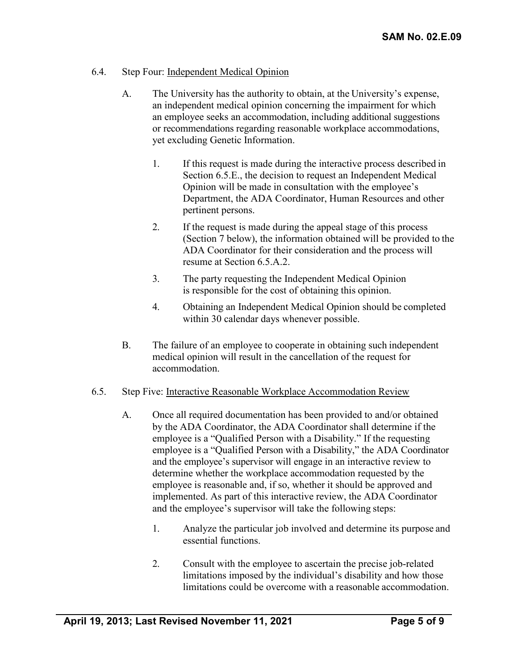## 6.4. Step Four: Independent Medical Opinion

- A. The University has the authority to obtain, at the University's expense, an independent medical opinion concerning the impairment for which an employee seeks an accommodation, including additional suggestions or recommendations regarding reasonable workplace accommodations, yet excluding Genetic Information.
	- 1. If this request is made during the interactive process described in Section 6.5.E., the decision to request an Independent Medical Opinion will be made in consultation with the employee's Department, the ADA Coordinator, Human Resources and other pertinent persons.
	- 2. If the request is made during the appeal stage of this process (Section 7 below), the information obtained will be provided to the ADA Coordinator for their consideration and the process will resume at Section 6.5.A.2.
	- 3. The party requesting the Independent Medical Opinion is responsible for the cost of obtaining this opinion.
	- 4. Obtaining an Independent Medical Opinion should be completed within 30 calendar days whenever possible.
- B. The failure of an employee to cooperate in obtaining such independent medical opinion will result in the cancellation of the request for accommodation.
- 6.5. Step Five: Interactive Reasonable Workplace Accommodation Review
	- A. Once all required documentation has been provided to and/or obtained by the ADA Coordinator, the ADA Coordinator shall determine if the employee is a "Qualified Person with a Disability." If the requesting employee is a "Qualified Person with a Disability," the ADA Coordinator and the employee's supervisor will engage in an interactive review to determine whether the workplace accommodation requested by the employee is reasonable and, if so, whether it should be approved and implemented. As part of this interactive review, the ADA Coordinator and the employee's supervisor will take the following steps:
		- 1. Analyze the particular job involved and determine its purpose and essential functions.
		- 2. Consult with the employee to ascertain the precise job-related limitations imposed by the individual's disability and how those limitations could be overcome with a reasonable accommodation.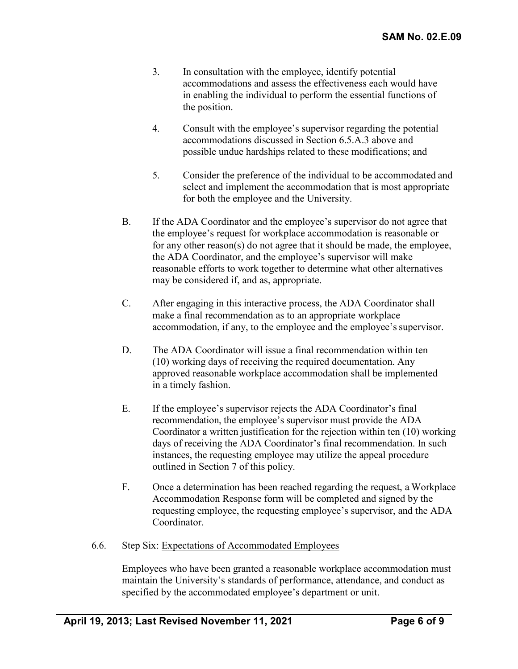- 3. In consultation with the employee, identify potential accommodations and assess the effectiveness each would have in enabling the individual to perform the essential functions of the position.
- 4. Consult with the employee's supervisor regarding the potential accommodations discussed in Section 6.5.A.3 above and possible undue hardships related to these modifications; and
- 5. Consider the preference of the individual to be accommodated and select and implement the accommodation that is most appropriate for both the employee and the University.
- B. If the ADA Coordinator and the employee's supervisor do not agree that the employee's request for workplace accommodation is reasonable or for any other reason(s) do not agree that it should be made, the employee, the ADA Coordinator, and the employee's supervisor will make reasonable efforts to work together to determine what other alternatives may be considered if, and as, appropriate.
- C. After engaging in this interactive process, the ADA Coordinator shall make a final recommendation as to an appropriate workplace accommodation, if any, to the employee and the employee's supervisor.
- D. The ADA Coordinator will issue a final recommendation within ten (10) working days of receiving the required documentation. Any approved reasonable workplace accommodation shall be implemented in a timely fashion.
- E. If the employee's supervisor rejects the ADA Coordinator's final recommendation, the employee's supervisor must provide the ADA Coordinator a written justification for the rejection within ten (10) working days of receiving the ADA Coordinator's final recommendation. In such instances, the requesting employee may utilize the appeal procedure outlined in Section 7 of this policy.
- F. Once a determination has been reached regarding the request, a Workplace Accommodation Response form will be completed and signed by the requesting employee, the requesting employee's supervisor, and the ADA Coordinator.
- 6.6. Step Six: Expectations of Accommodated Employees

Employees who have been granted a reasonable workplace accommodation must maintain the University's standards of performance, attendance, and conduct as specified by the accommodated employee's department or unit.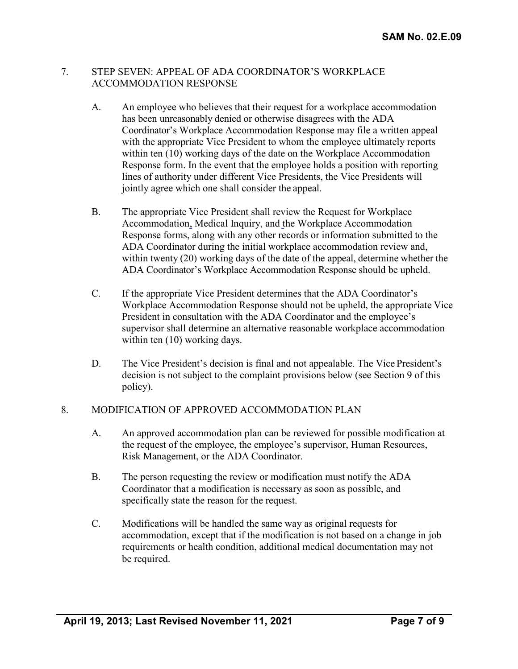### 7. STEP SEVEN: APPEAL OF ADA COORDINATOR'S WORKPLACE ACCOMMODATION RESPONSE

- A. An employee who believes that their request for a workplace accommodation has been unreasonably denied or otherwise disagrees with the ADA Coordinator's Workplace Accommodation Response may file a written appeal with the appropriate Vice President to whom the employee ultimately reports within ten (10) working days of the date on the Workplace Accommodation Response form. In the event that the employee holds a position with reporting lines of authority under different Vice Presidents, the Vice Presidents will jointly agree which one shall consider the appeal.
- B. The appropriate Vice President shall review the Request for Workplace Accommodation, Medical Inquiry, and the Workplace Accommodation Response forms, along with any other records or information submitted to the ADA Coordinator during the initial workplace accommodation review and, within twenty (20) working days of the date of the appeal, determine whether the ADA Coordinator's Workplace Accommodation Response should be upheld.
- C. If the appropriate Vice President determines that the ADA Coordinator's Workplace Accommodation Response should not be upheld, the appropriate Vice President in consultation with the ADA Coordinator and the employee's supervisor shall determine an alternative reasonable workplace accommodation within ten  $(10)$  working days.
- D. The Vice President's decision is final and not appealable. The Vice President's decision is not subject to the complaint provisions below (see Section 9 of this policy).

## 8. MODIFICATION OF APPROVED ACCOMMODATION PLAN

- A. An approved accommodation plan can be reviewed for possible modification at the request of the employee, the employee's supervisor, Human Resources, Risk Management, or the ADA Coordinator.
- B. The person requesting the review or modification must notify the ADA Coordinator that a modification is necessary as soon as possible, and specifically state the reason for the request.
- C. Modifications will be handled the same way as original requests for accommodation, except that if the modification is not based on a change in job requirements or health condition, additional medical documentation may not be required.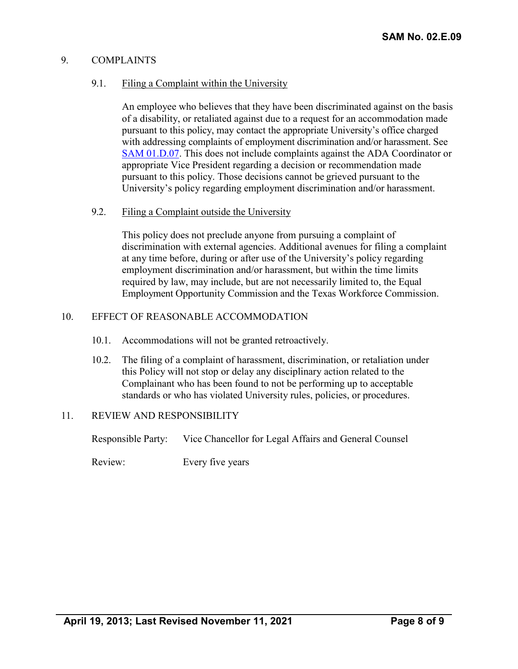## 9. COMPLAINTS

# 9.1. Filing a Complaint within the University

An employee who believes that they have been discriminated against on the basis of a disability, or retaliated against due to a request for an accommodation made pursuant to this policy, may contact the appropriate University's office charged with addressing complaints of employment discrimination and/or harassment. See [SAM 01.D.07.](https://uhsystem.edu/compliance-ethics/_docs/sam/01/1d71.pdf) This does not include complaints against the ADA Coordinator or appropriate Vice President regarding a decision or recommendation made pursuant to this policy. Those decisions cannot be grieved pursuant to the University's policy regarding employment discrimination and/or harassment.

# 9.2. Filing a Complaint outside the University

This policy does not preclude anyone from pursuing a complaint of discrimination with external agencies. Additional avenues for filing a complaint at any time before, during or after use of the University's policy regarding employment discrimination and/or harassment, but within the time limits required by law, may include, but are not necessarily limited to, the Equal Employment Opportunity Commission and the Texas Workforce Commission.

# 10. EFFECT OF REASONABLE ACCOMMODATION

- 10.1. Accommodations will not be granted retroactively.
- 10.2. The filing of a complaint of harassment, discrimination, or retaliation under this Policy will not stop or delay any disciplinary action related to the Complainant who has been found to not be performing up to acceptable standards or who has violated University rules, policies, or procedures.

# 11. REVIEW AND RESPONSIBILITY

Responsible Party: Vice Chancellor for Legal Affairs and General Counsel

Review: Every five years